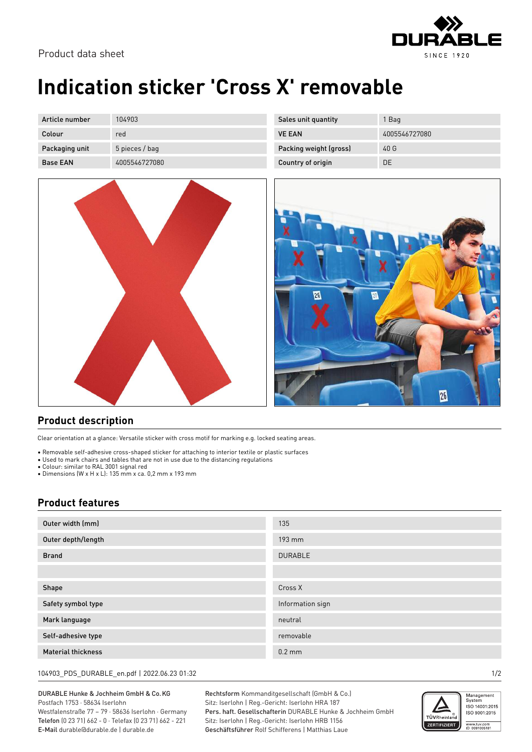

## **Indication sticker 'Cross X' removable**

| Article number  | 104903         | Sales unit quantity    | 1 Bag         |
|-----------------|----------------|------------------------|---------------|
| Colour          | red            | <b>VE EAN</b>          | 4005546727080 |
| Packaging unit  | 5 pieces / bag | Packing weight (gross) | 40G           |
| <b>Base EAN</b> | 4005546727080  | Country of origin      | DE            |



| 26 | Ø |    |
|----|---|----|
|    |   |    |
|    |   | 26 |

## **Product description**

Clear orientation at a glance: Versatile sticker with cross motif for marking e.g. locked seating areas.

• Removable self-adhesive cross-shaped sticker for attaching to interior textile or plastic surfaces

• Used to mark chairs and tables that are not in use due to the distancing regulations

• Colour: similar to RAL 3001 signal red

• Dimensions (W x H x L): 135 mm x ca. 0,2 mm x 193 mm

## **Product features**

| Outer width (mm)          | 135              |
|---------------------------|------------------|
| Outer depth/length        | 193 mm           |
| <b>Brand</b>              | <b>DURABLE</b>   |
|                           |                  |
| Shape                     | Cross X          |
| Safety symbol type        | Information sign |
| Mark language             | neutral          |
| Self-adhesive type        | removable        |
| <b>Material thickness</b> | $0.2$ mm         |

104903\_PDS\_DURABLE\_en.pdf | 2022.06.23 01:32 1/2

DURABLE Hunke & Jochheim GmbH & Co.KG Postfach 1753 · 58634 Iserlohn

Westfalenstraße 77 – 79 · 58636 Iserlohn · Germany Telefon (0 23 71) 662 - 0 · Telefax (0 23 71) 662 - 221 E-Mail durable@durable.de | durable.de

Rechtsform Kommanditgesellschaft (GmbH & Co.) Sitz: Iserlohn | Reg.-Gericht: Iserlohn HRA 187 Pers. haft. Gesellschafterin DURABLE Hunke & Jochheim GmbH Sitz: Iserlohn | Reg.-Gericht: Iserlohn HRB 1156 Geschäftsführer Rolf Schifferens | Matthias Laue